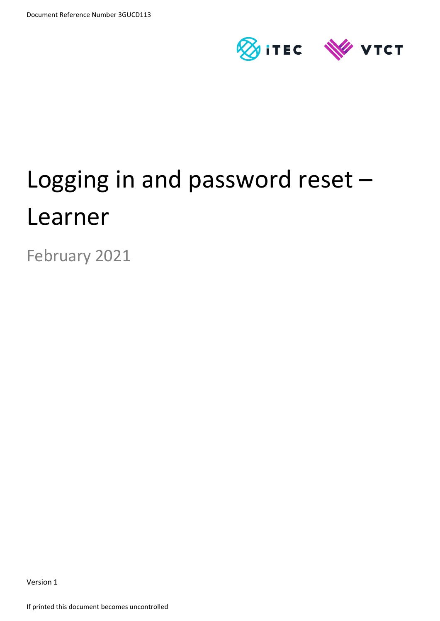

# Logging in and password reset – Learner

February 2021

Version 1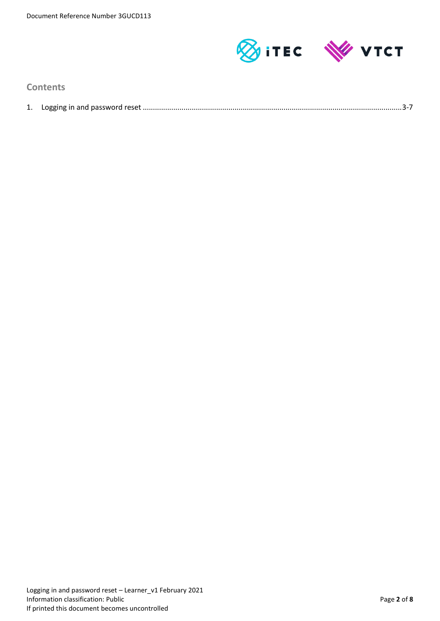

## **Contents**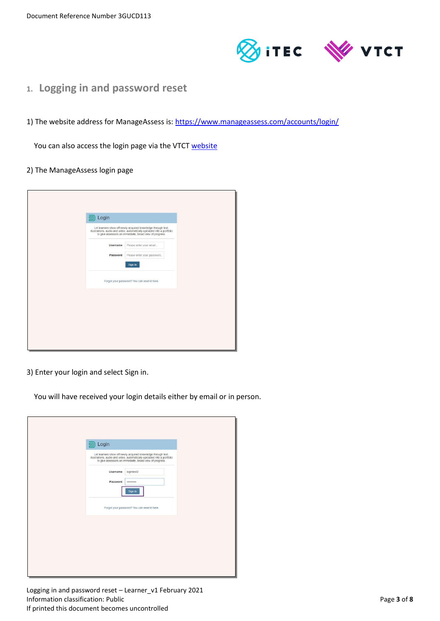

- **1. Logging in and password reset**
- 1) The website address for ManageAssess is: <https://www.manageassess.com/accounts/login/>

You can also access the login page via the VTCT [website](http://www.vtct.org.uk/existing-centres/resources/manageassess/)

#### 2) The ManageAssess login page

| Login<br>画<br>Let learners show off newly-acquired knowledge through text,<br>illustrations, audio and video, automatically uploaded into a portfolio<br>to give assessors an immediate, broad view of progress. |
|------------------------------------------------------------------------------------------------------------------------------------------------------------------------------------------------------------------|
| Please enter your email<br>Username<br>Please enter your password<br>Password<br>Sign in                                                                                                                         |
| Forgot your password? You can reset it here.                                                                                                                                                                     |
|                                                                                                                                                                                                                  |
|                                                                                                                                                                                                                  |

3) Enter your login and select Sign in.

You will have received your login details either by email or in person.

| Login<br>国<br>Let learners show off newly-acquired knowledge through text, illustrations, audio and video, automatically uploaded into a portfolio<br>to give assessors an immediate, broad view of progress. |  |
|---------------------------------------------------------------------------------------------------------------------------------------------------------------------------------------------------------------|--|
| Username<br>logintest2<br>Password<br><br>Sign in                                                                                                                                                             |  |
| Forgot your password? You can reset it here.                                                                                                                                                                  |  |
|                                                                                                                                                                                                               |  |
|                                                                                                                                                                                                               |  |

Logging in and password reset – Learner\_v1 February 2021 Information classification: Public Page **3** of **8** and **Page 3** of **8** and **Page 3** of **8** If printed this document becomes uncontrolled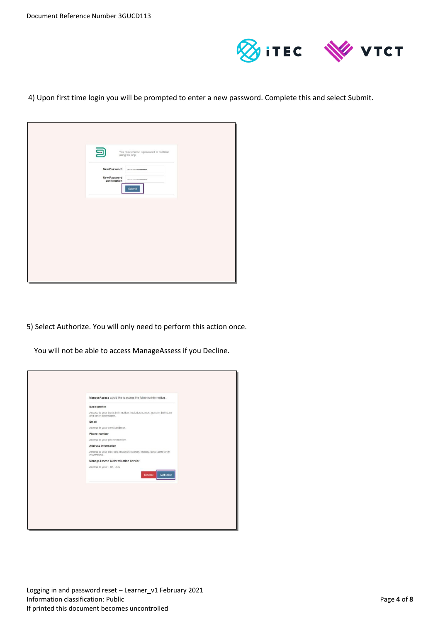

4) Upon first time login you will be prompted to enter a new password. Complete this and select Submit.

| 囙<br>You must choose a password to continue<br>using the app. |
|---------------------------------------------------------------|
| New Password<br>                                              |
| New Password<br><br>confirmation                              |
| Submit                                                        |
|                                                               |
|                                                               |
|                                                               |
|                                                               |
|                                                               |
|                                                               |
|                                                               |
|                                                               |

5) Select Authorize. You will only need to perform this action once.

You will not be able to access ManageAssess if you Decline.

| ManageAssess would like to access the following information                                   |
|-----------------------------------------------------------------------------------------------|
| <b>Basic profile</b>                                                                          |
| Access to your basic information. Includes names, gender, birthdate<br>and other information. |
| Email                                                                                         |
| Access to your email address.                                                                 |
| Phone number                                                                                  |
| Access to your phone number.                                                                  |
| Address information                                                                           |
| Access to your address. Includes country, locality, street and other<br>information.          |
| ManageAssess Authentication Service                                                           |
| Access to your Title, ULN<br><b>Decline</b><br>Authorize                                      |
|                                                                                               |
|                                                                                               |
|                                                                                               |
|                                                                                               |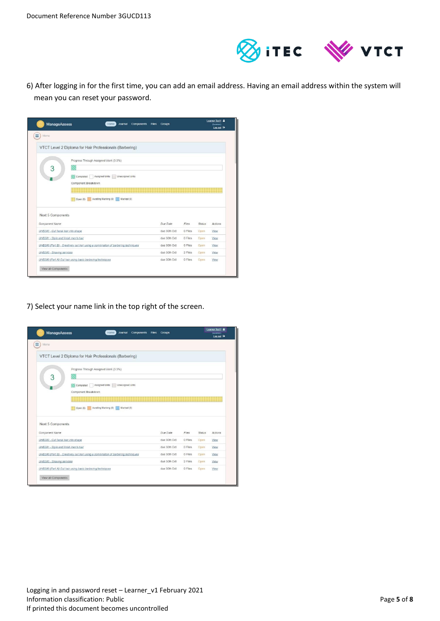

6) After logging in for the first time, you can add an email address. Having an email address within the system will mean you can reset your password.

| <b>ManageAssess</b>                                   | Home<br>Journal<br><b>Components</b>                                                                                  | Files<br><b>Groups</b> |                  |                | Learner Test1 &<br>(Learner)<br>Log out <sup>[+</sup> |
|-------------------------------------------------------|-----------------------------------------------------------------------------------------------------------------------|------------------------|------------------|----------------|-------------------------------------------------------|
| Ξ<br>Menu                                             |                                                                                                                       |                        |                  |                |                                                       |
|                                                       | VTCT Level 2 Diploma for Hair Professionals (Barbering)                                                               |                        |                  |                |                                                       |
| 3                                                     | Progress Through Assigned Work (3.3%)<br>Assigned Units<br>Unassigned Units<br>Completed<br>-1<br>Component Breakdown |                        |                  |                |                                                       |
| Next 5 Components                                     | Awaiting Marking (0)<br>Marked (0)<br>Open $(8)$                                                                      | Due Date               |                  |                |                                                       |
| Component Name<br>UHB202 - Cut facial hair into shape |                                                                                                                       | due 30th Oct           | Files<br>0 Files | Status<br>Open | Actions<br>View                                       |
| UHB201 - Style and finish men's hair                  |                                                                                                                       | due 30th Oct           | 0 Files          | Open           | View                                                  |
|                                                       | UHB200 (Part B) - Creatively cut hair using a combination of barbering techniques                                     | due 30th Oct           | 0 Files          | Open           | View                                                  |
| UHB203 - Shaving services                             |                                                                                                                       | due 30th Oct           | 2 Files          | Open           | View                                                  |
| View all Components                                   | UHB200 (Part A) Cut hair using basic barbering techniques                                                             | due 30th Oct           | 0 Files          | Open           | View                                                  |

7) Select your name link in the top right of the screen.

| ManageAssess                         | Journal<br>Components Files<br>Home                                                                                                                                    | <b>Groups</b> |         |               | Learner Test1 &<br>$(1.$ earner $)$<br>Log out <sup>(*)</sup> |
|--------------------------------------|------------------------------------------------------------------------------------------------------------------------------------------------------------------------|---------------|---------|---------------|---------------------------------------------------------------|
| Ξ<br>Menu                            |                                                                                                                                                                        |               |         |               |                                                               |
|                                      | VTCT Level 2 Diploma for Hair Professionals (Barbering)                                                                                                                |               |         |               |                                                               |
| 3                                    | Progress Through Assigned Work (3.3%)<br>Assigned Units   Unassigned Units<br>Completed<br>Component Breakdown<br>Awaiting Marking (0)<br>Marked (0)<br>H.<br>Open (8) |               |         |               |                                                               |
| Next 5 Components<br>Component Name  |                                                                                                                                                                        | Due Date      | Files.  | <b>Status</b> | Actions                                                       |
| UHB202 - Cut facial hair into shape  |                                                                                                                                                                        | due 30th Oct  | 0 Files | Open          | View                                                          |
| UHB201 - Style and finish men's hair |                                                                                                                                                                        | due 30th Oct  | 0 Files | Open          | View                                                          |
|                                      | UHB200 (Part B) - Creatively cut hair using a combination of barbering techniques                                                                                      | due 30th Oct  | 0 Files | Open          | View                                                          |
| UHB203 - Shaving services            |                                                                                                                                                                        | due 30th Oct  | 2 Files | Open          | View                                                          |
| View all Components                  | UHB200 (Part A) Cut hair using basic barbering techniques                                                                                                              | due 30th Oct  | 0 Files | Open          | View                                                          |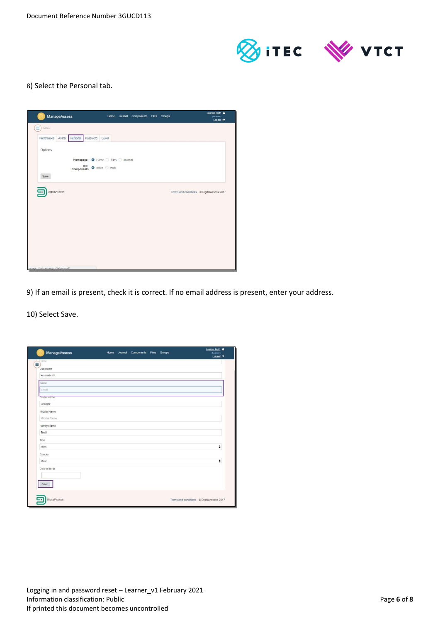

## 8) Select the Personal tab.

| Preferences | Avatar<br>Personal | Password<br>Quota                 |  |  |
|-------------|--------------------|-----------------------------------|--|--|
| Options     |                    |                                   |  |  |
|             |                    | Homepage O Home O Files O Journal |  |  |
|             | Old<br>Components  | Show Hide                         |  |  |
| Save        |                    |                                   |  |  |
|             |                    |                                   |  |  |

9) If an email is present, check it is correct. If no email address is present, enter your address.

10) Select Save.

| Ξ<br>Username |  |              |
|---------------|--|--------------|
| learnertest1  |  |              |
| Email         |  |              |
| Email         |  |              |
| Given Name    |  |              |
| Learner       |  |              |
| Middle Name   |  |              |
| Middle Name   |  |              |
| Family Name   |  |              |
| Test1         |  |              |
| Title         |  |              |
| Miss          |  | ÷            |
| Gender        |  |              |
| Male          |  | $\pmb{\div}$ |
| Date of Birth |  |              |
| save          |  |              |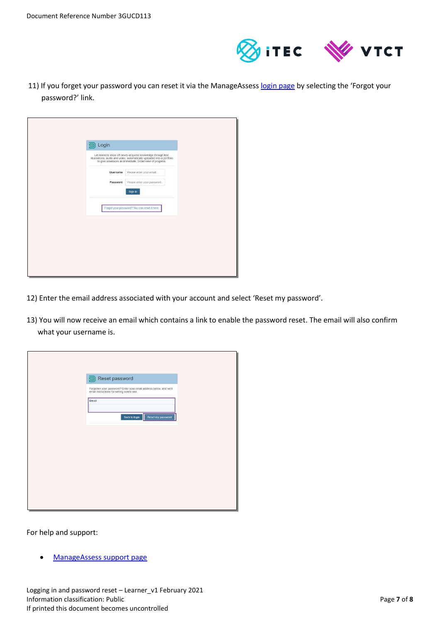

11) If you forget your password you can reset it via the ManageAssess [login page](https://www.manageassess.com/accounts/login/) by selecting the 'Forgot your password?' link.

| Login<br>♦ |                                                                                                                                                                                                    |
|------------|----------------------------------------------------------------------------------------------------------------------------------------------------------------------------------------------------|
|            | Let learners show off newly-acquired knowledge through text,<br>illustrations, audio and video, automatically uploaded into a portfolio<br>to give assessors an immediate, broad view of progress. |
| Username   | Please enter your email                                                                                                                                                                            |
| Password   | Please enter your password                                                                                                                                                                         |
|            | Sign in                                                                                                                                                                                            |
|            | Forgot your password? You can reset it here.                                                                                                                                                       |
|            |                                                                                                                                                                                                    |
|            |                                                                                                                                                                                                    |
|            |                                                                                                                                                                                                    |
|            |                                                                                                                                                                                                    |

- 12) Enter the email address associated with your account and select 'Reset my password'.
- 13) You will now receive an email which contains a link to enable the password reset. The email will also confirm what your username is.

| Reset password<br>亘                                                                                             |  |
|-----------------------------------------------------------------------------------------------------------------|--|
| Forgotten your password? Enter your email address below, and we'll<br>email instructions for setting a new one. |  |
| Email                                                                                                           |  |
| <b>Back to login</b><br>Reset my password                                                                       |  |
|                                                                                                                 |  |
|                                                                                                                 |  |
|                                                                                                                 |  |
|                                                                                                                 |  |
|                                                                                                                 |  |
|                                                                                                                 |  |
|                                                                                                                 |  |

For help and support:

[ManageAssess support page](http://www.vtct.org.uk/existing-centres/resources/manageassess/)

Logging in and password reset – Learner\_v1 February 2021 Information classification: Public Page **7** of **8** and *Page* **7** of **8** and *Page* **7** of **8** If printed this document becomes uncontrolled